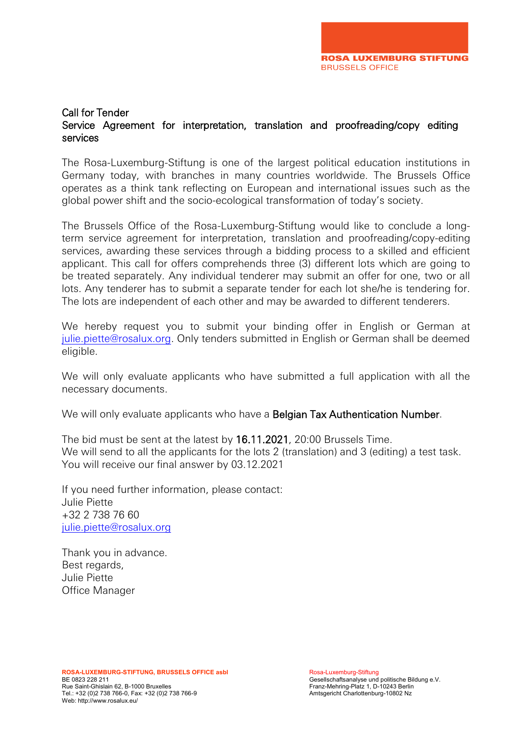#### Call for Tender Service Agreement for interpretation, translation and proofreading/copy editing services

The Rosa-Luxemburg-Stiftung is one of the largest political education institutions in Germany today, with branches in many countries worldwide. The Brussels Office operates as a think tank reflecting on European and international issues such as the global power shift and the socio-ecological transformation of today's society.

The Brussels Office of the Rosa-Luxemburg-Stiftung would like to conclude a longterm service agreement for interpretation, translation and proofreading/copy-editing services, awarding these services through a bidding process to a skilled and efficient applicant. This call for offers comprehends three (3) different lots which are going to be treated separately. Any individual tenderer may submit an offer for one, two or all lots. Any tenderer has to submit a separate tender for each lot she/he is tendering for. The lots are independent of each other and may be awarded to different tenderers.

We hereby request you to submit your binding offer in English or German at [julie.piette@rosalux.org.](mailto:julie.piette@rosalux.org) Only tenders submitted in English or German shall be deemed eligible.

We will only evaluate applicants who have submitted a full application with all the necessary documents.

We will only evaluate applicants who have a **Belgian Tax Authentication Number**.

The bid must be sent at the latest by 16.11.2021, 20:00 Brussels Time. We will send to all the applicants for the lots 2 (translation) and 3 (editing) a test task. You will receive our final answer by 03.12.2021

If you need further information, please contact: Julie Piette +32 2 738 76 60 [julie.piette@rosalux.org](mailto:julie.piette@rosalux.org)

Thank you in advance. Best regards, Julie Piette Office Manager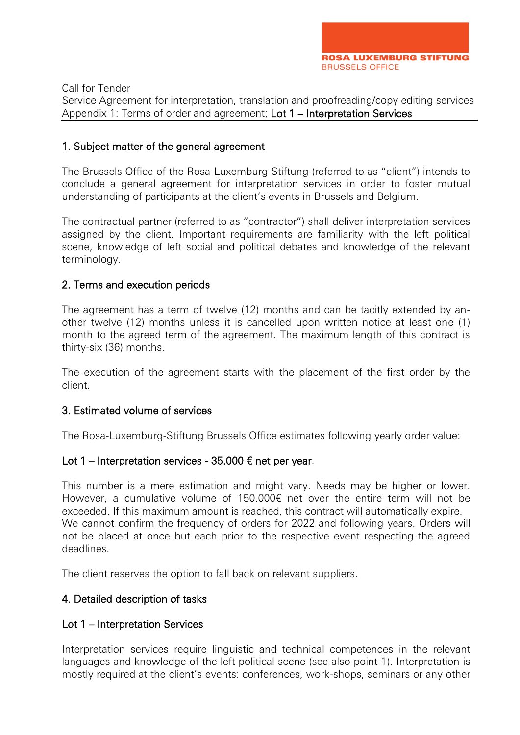Service Agreement for interpretation, translation and proofreading/copy editing services Appendix 1: Terms of order and agreement; Lot 1 – Interpretation Services

#### 1. Subject matter of the general agreement

The Brussels Office of the Rosa-Luxemburg-Stiftung (referred to as "client") intends to conclude a general agreement for interpretation services in order to foster mutual understanding of participants at the client's events in Brussels and Belgium.

The contractual partner (referred to as "contractor") shall deliver interpretation services assigned by the client. Important requirements are familiarity with the left political scene, knowledge of left social and political debates and knowledge of the relevant terminology.

#### 2. Terms and execution periods

The agreement has a term of twelve (12) months and can be tacitly extended by another twelve (12) months unless it is cancelled upon written notice at least one (1) month to the agreed term of the agreement. The maximum length of this contract is thirty-six (36) months.

The execution of the agreement starts with the placement of the first order by the client.

#### 3. Estimated volume of services

The Rosa-Luxemburg-Stiftung Brussels Office estimates following yearly order value:

#### Lot 1 – Interpretation services - 35.000  $\epsilon$  net per year.

This number is a mere estimation and might vary. Needs may be higher or lower. However, a cumulative volume of 150.000€ net over the entire term will not be exceeded. If this maximum amount is reached, this contract will automatically expire. We cannot confirm the frequency of orders for 2022 and following years. Orders will not be placed at once but each prior to the respective event respecting the agreed deadlines.

The client reserves the option to fall back on relevant suppliers.

## 4. Detailed description of tasks

#### Lot 1 – Interpretation Services

Interpretation services require linguistic and technical competences in the relevant languages and knowledge of the left political scene (see also point 1). Interpretation is mostly required at the client's events: conferences, work-shops, seminars or any other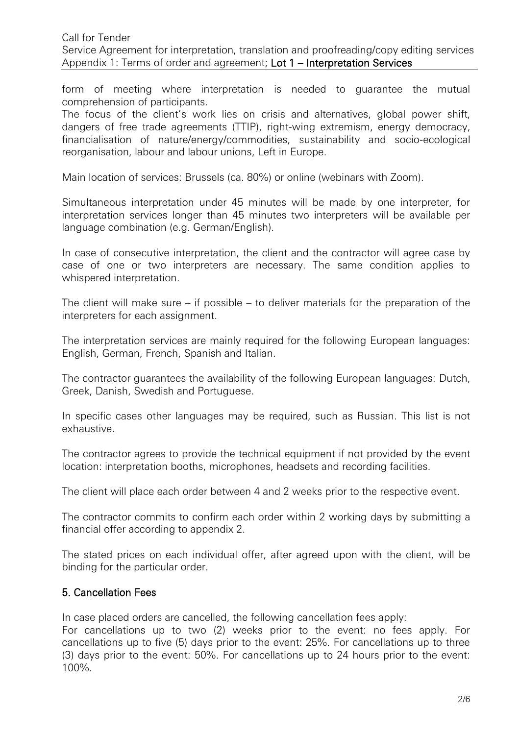form of meeting where interpretation is needed to guarantee the mutual comprehension of participants.

The focus of the client's work lies on crisis and alternatives, global power shift, dangers of free trade agreements (TTIP), right-wing extremism, energy democracy, financialisation of nature/energy/commodities, sustainability and socio-ecological reorganisation, labour and labour unions, Left in Europe.

Main location of services: Brussels (ca. 80%) or online (webinars with Zoom).

Simultaneous interpretation under 45 minutes will be made by one interpreter, for interpretation services longer than 45 minutes two interpreters will be available per language combination (e.g. German/English).

In case of consecutive interpretation, the client and the contractor will agree case by case of one or two interpreters are necessary. The same condition applies to whispered interpretation.

The client will make sure – if possible – to deliver materials for the preparation of the interpreters for each assignment.

The interpretation services are mainly required for the following European languages: English, German, French, Spanish and Italian.

The contractor guarantees the availability of the following European languages: Dutch, Greek, Danish, Swedish and Portuguese.

In specific cases other languages may be required, such as Russian. This list is not exhaustive.

The contractor agrees to provide the technical equipment if not provided by the event location: interpretation booths, microphones, headsets and recording facilities.

The client will place each order between 4 and 2 weeks prior to the respective event.

The contractor commits to confirm each order within 2 working days by submitting a financial offer according to appendix 2.

The stated prices on each individual offer, after agreed upon with the client, will be binding for the particular order.

## 5. Cancellation Fees

In case placed orders are cancelled, the following cancellation fees apply:

For cancellations up to two (2) weeks prior to the event: no fees apply. For cancellations up to five (5) days prior to the event: 25%. For cancellations up to three (3) days prior to the event: 50%. For cancellations up to 24 hours prior to the event: 100%.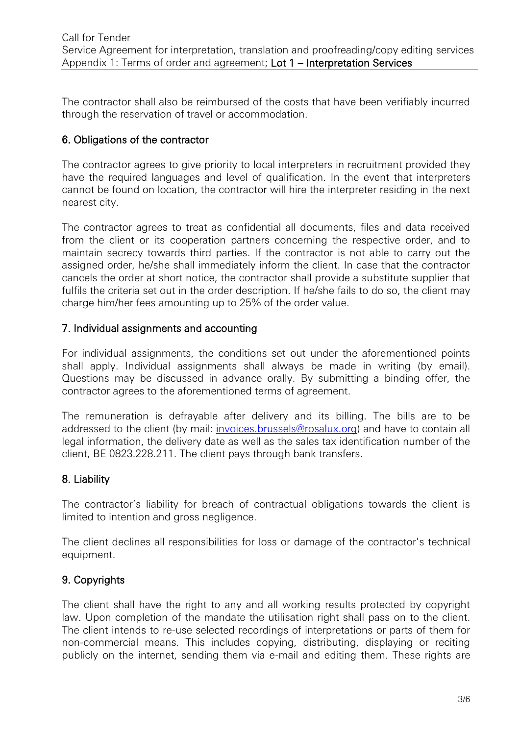The contractor shall also be reimbursed of the costs that have been verifiably incurred through the reservation of travel or accommodation.

## 6. Obligations of the contractor

The contractor agrees to give priority to local interpreters in recruitment provided they have the required languages and level of qualification. In the event that interpreters cannot be found on location, the contractor will hire the interpreter residing in the next nearest city.

The contractor agrees to treat as confidential all documents, files and data received from the client or its cooperation partners concerning the respective order, and to maintain secrecy towards third parties. If the contractor is not able to carry out the assigned order, he/she shall immediately inform the client. In case that the contractor cancels the order at short notice, the contractor shall provide a substitute supplier that fulfils the criteria set out in the order description. If he/she fails to do so, the client may charge him/her fees amounting up to 25% of the order value.

## 7. Individual assignments and accounting

For individual assignments, the conditions set out under the aforementioned points shall apply. Individual assignments shall always be made in writing (by email). Questions may be discussed in advance orally. By submitting a binding offer, the contractor agrees to the aforementioned terms of agreement.

The remuneration is defrayable after delivery and its billing. The bills are to be addressed to the client (by mail: [invoices.brussels@rosalux.org\)](mailto:invoices.brussels@rosalux.org) and have to contain all legal information, the delivery date as well as the sales tax identification number of the client, BE 0823.228.211. The client pays through bank transfers.

## 8. Liability

The contractor's liability for breach of contractual obligations towards the client is limited to intention and gross negligence.

The client declines all responsibilities for loss or damage of the contractor's technical equipment.

# 9. Copyrights

The client shall have the right to any and all working results protected by copyright law. Upon completion of the mandate the utilisation right shall pass on to the client. The client intends to re-use selected recordings of interpretations or parts of them for non-commercial means. This includes copying, distributing, displaying or reciting publicly on the internet, sending them via e-mail and editing them. These rights are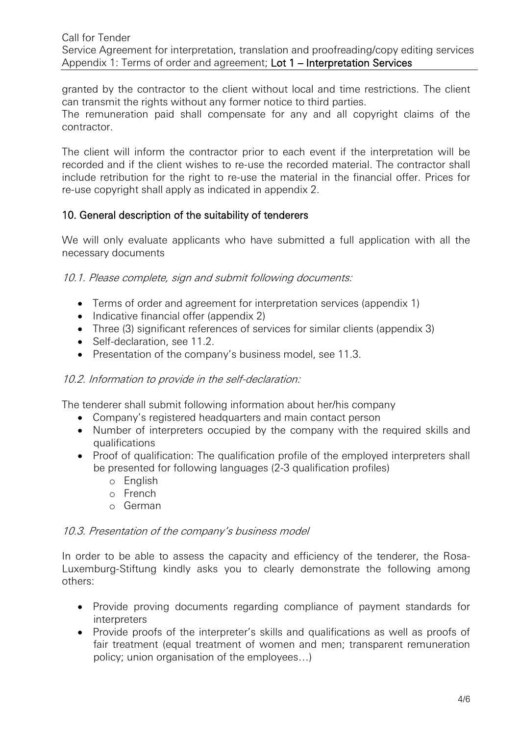granted by the contractor to the client without local and time restrictions. The client can transmit the rights without any former notice to third parties.

The remuneration paid shall compensate for any and all copyright claims of the contractor.

The client will inform the contractor prior to each event if the interpretation will be recorded and if the client wishes to re-use the recorded material. The contractor shall include retribution for the right to re-use the material in the financial offer. Prices for re-use copyright shall apply as indicated in appendix 2.

## 10. General description of the suitability of tenderers

We will only evaluate applicants who have submitted a full application with all the necessary documents

10.1. Please complete, sign and submit following documents:

- Terms of order and agreement for interpretation services (appendix 1)
- Indicative financial offer (appendix 2)
- Three (3) significant references of services for similar clients (appendix 3)
- Self-declaration, see 11.2.
- Presentation of the company's business model, see 11.3.

## 10.2. Information to provide in the self-declaration:

The tenderer shall submit following information about her/his company

- Company's registered headquarters and main contact person
- Number of interpreters occupied by the company with the required skills and qualifications
- Proof of qualification: The qualification profile of the employed interpreters shall be presented for following languages (2-3 qualification profiles)
	- o English
	- o French
	- o German

## 10.3. Presentation of the company's business model

In order to be able to assess the capacity and efficiency of the tenderer, the Rosa-Luxemburg-Stiftung kindly asks you to clearly demonstrate the following among others:

- Provide proving documents regarding compliance of payment standards for interpreters
- Provide proofs of the interpreter's skills and qualifications as well as proofs of fair treatment (equal treatment of women and men; transparent remuneration policy; union organisation of the employees…)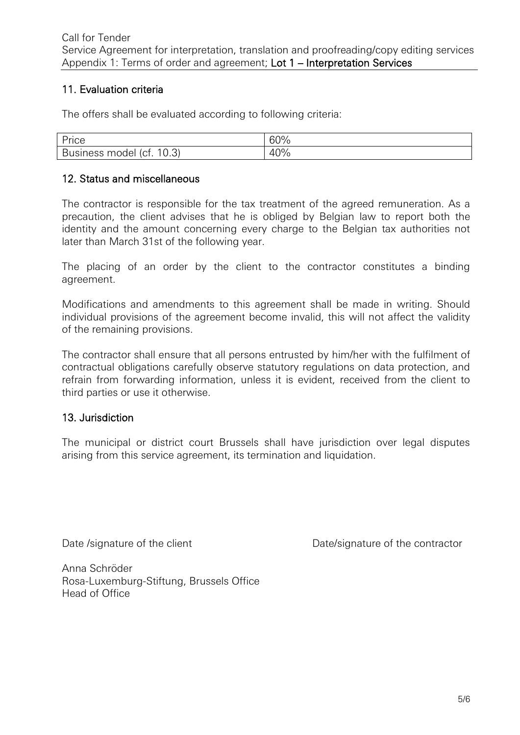## 11. Evaluation criteria

The offers shall be evaluated according to following criteria:

| $\sqrt{2}$<br>— Ur<br>ାଠି                                                       | 60% |
|---------------------------------------------------------------------------------|-----|
| $\sim$<br>∍<br>16<br><b>1ess</b><br>model<br>$1^+$<br>ы,<br>. וטי<br>∪.∪<br>. ب | 40% |

## 12. Status and miscellaneous

The contractor is responsible for the tax treatment of the agreed remuneration. As a precaution, the client advises that he is obliged by Belgian law to report both the identity and the amount concerning every charge to the Belgian tax authorities not later than March 31st of the following year.

The placing of an order by the client to the contractor constitutes a binding agreement.

Modifications and amendments to this agreement shall be made in writing. Should individual provisions of the agreement become invalid, this will not affect the validity of the remaining provisions.

The contractor shall ensure that all persons entrusted by him/her with the fulfilment of contractual obligations carefully observe statutory regulations on data protection, and refrain from forwarding information, unless it is evident, received from the client to third parties or use it otherwise.

## 13. Jurisdiction

The municipal or district court Brussels shall have jurisdiction over legal disputes arising from this service agreement, its termination and liquidation.

Date /signature of the client Date/signature of the contractor

Anna Schröder Rosa-Luxemburg-Stiftung, Brussels Office Head of Office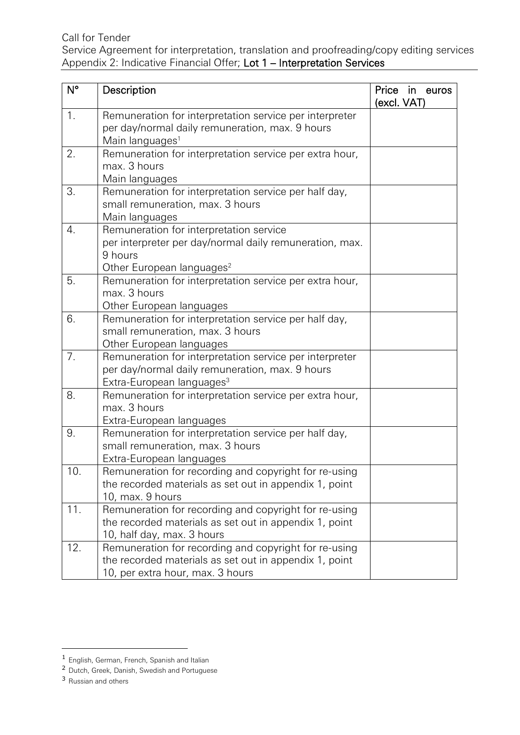Service Agreement for interpretation, translation and proofreading/copy editing services Appendix 2: Indicative Financial Offer; Lot 1 – Interpretation Services

| $N^{\circ}$ | Description                                                                                                                                            | Price<br>in euros<br>(excl. VAT) |
|-------------|--------------------------------------------------------------------------------------------------------------------------------------------------------|----------------------------------|
| 1.          | Remuneration for interpretation service per interpreter<br>per day/normal daily remuneration, max. 9 hours<br>Main languages <sup>1</sup>              |                                  |
| 2.          | Remuneration for interpretation service per extra hour,<br>max. 3 hours<br>Main languages                                                              |                                  |
| 3.          | Remuneration for interpretation service per half day,<br>small remuneration, max. 3 hours<br>Main languages                                            |                                  |
| 4.          | Remuneration for interpretation service<br>per interpreter per day/normal daily remuneration, max.<br>9 hours<br>Other European languages <sup>2</sup> |                                  |
| 5.          | Remuneration for interpretation service per extra hour,<br>max. 3 hours<br>Other European languages                                                    |                                  |
| 6.          | Remuneration for interpretation service per half day,<br>small remuneration, max. 3 hours<br>Other European languages                                  |                                  |
| 7.          | Remuneration for interpretation service per interpreter<br>per day/normal daily remuneration, max. 9 hours<br>Extra-European languages <sup>3</sup>    |                                  |
| 8.          | Remuneration for interpretation service per extra hour,<br>max. 3 hours<br>Extra-European languages                                                    |                                  |
| 9.          | Remuneration for interpretation service per half day,<br>small remuneration, max. 3 hours<br>Extra-European languages                                  |                                  |
| 10.         | Remuneration for recording and copyright for re-using<br>the recorded materials as set out in appendix 1, point<br>10, max. 9 hours                    |                                  |
| 11.         | Remuneration for recording and copyright for re-using<br>the recorded materials as set out in appendix 1, point<br>10, half day, max. 3 hours          |                                  |
| 12.         | Remuneration for recording and copyright for re-using<br>the recorded materials as set out in appendix 1, point<br>10, per extra hour, max. 3 hours    |                                  |

<sup>&</sup>lt;sup>1</sup> English, German, French, Spanish and Italian

<sup>&</sup>lt;sup>2</sup> Dutch, Greek, Danish, Swedish and Portuguese

<sup>&</sup>lt;sup>3</sup> Russian and others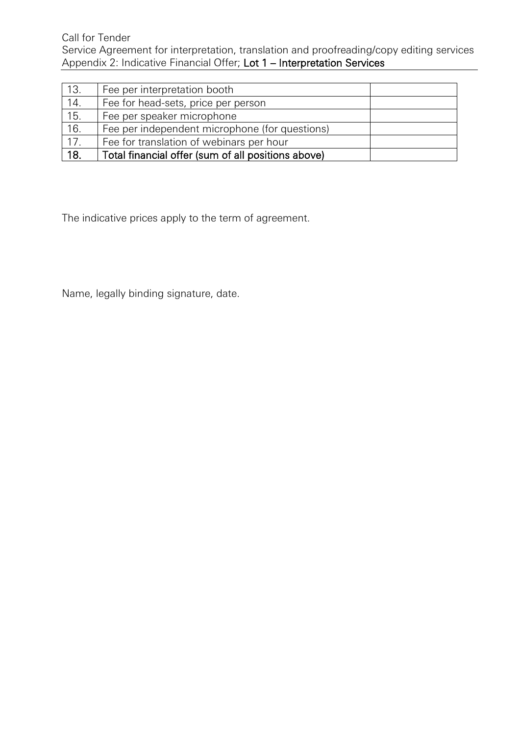Call for Tender Service Agreement for interpretation, translation and proofreading/copy editing services Appendix 2: Indicative Financial Offer; Lot 1 – Interpretation Services

| 13.               | Fee per interpretation booth                       |  |
|-------------------|----------------------------------------------------|--|
| 14.               | Fee for head-sets, price per person                |  |
| 15.               | Fee per speaker microphone                         |  |
| 16.               | Fee per independent microphone (for questions)     |  |
| $\overline{17}$ . | Fee for translation of webinars per hour           |  |
| 18.               | Total financial offer (sum of all positions above) |  |

The indicative prices apply to the term of agreement.

Name, legally binding signature, date.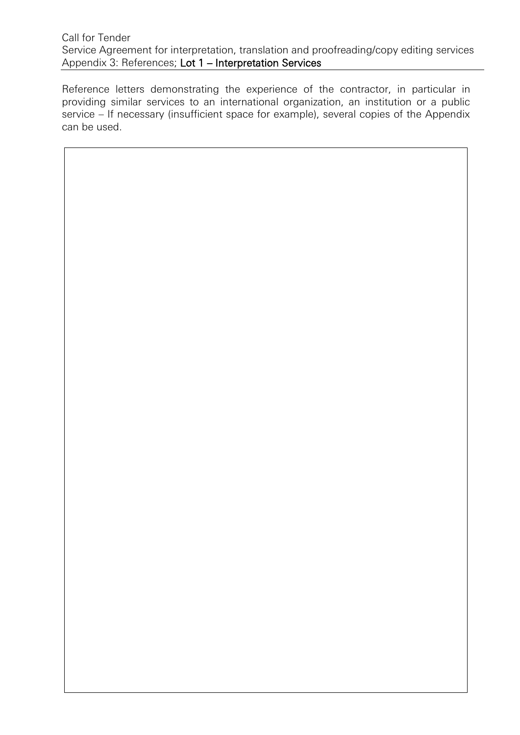#### Call for Tender Service Agreement for interpretation, translation and proofreading/copy editing services Appendix 3: References; Lot 1 – Interpretation Services

Reference letters demonstrating the experience of the contractor, in particular in providing similar services to an international organization, an institution or a public service – If necessary (insufficient space for example), several copies of the Appendix can be used.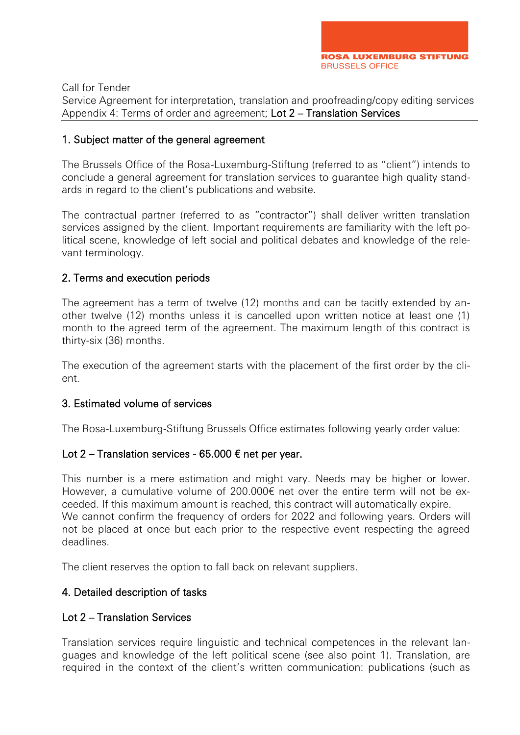Service Agreement for interpretation, translation and proofreading/copy editing services Appendix 4: Terms of order and agreement; Lot 2 – Translation Services

#### 1. Subject matter of the general agreement

The Brussels Office of the Rosa-Luxemburg-Stiftung (referred to as "client") intends to conclude a general agreement for translation services to guarantee high quality standards in regard to the client's publications and website.

The contractual partner (referred to as "contractor") shall deliver written translation services assigned by the client. Important requirements are familiarity with the left political scene, knowledge of left social and political debates and knowledge of the relevant terminology.

#### 2. Terms and execution periods

The agreement has a term of twelve (12) months and can be tacitly extended by another twelve (12) months unless it is cancelled upon written notice at least one (1) month to the agreed term of the agreement. The maximum length of this contract is thirty-six (36) months.

The execution of the agreement starts with the placement of the first order by the client.

#### 3. Estimated volume of services

The Rosa-Luxemburg-Stiftung Brussels Office estimates following yearly order value:

#### Lot 2 – Translation services - 65.000  $\epsilon$  net per year.

This number is a mere estimation and might vary. Needs may be higher or lower. However, a cumulative volume of 200.000€ net over the entire term will not be exceeded. If this maximum amount is reached, this contract will automatically expire. We cannot confirm the frequency of orders for 2022 and following years. Orders will not be placed at once but each prior to the respective event respecting the agreed deadlines.

The client reserves the option to fall back on relevant suppliers.

## 4. Detailed description of tasks

#### Lot 2 – Translation Services

Translation services require linguistic and technical competences in the relevant languages and knowledge of the left political scene (see also point 1). Translation, are required in the context of the client's written communication: publications (such as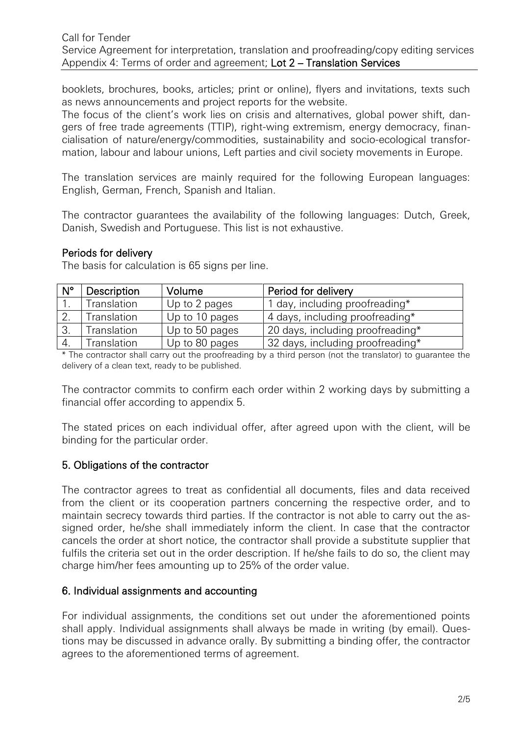booklets, brochures, books, articles; print or online), flyers and invitations, texts such as news announcements and project reports for the website.

The focus of the client's work lies on crisis and alternatives, global power shift, dangers of free trade agreements (TTIP), right-wing extremism, energy democracy, financialisation of nature/energy/commodities, sustainability and socio-ecological transformation, labour and labour unions, Left parties and civil society movements in Europe.

The translation services are mainly required for the following European languages: English, German, French, Spanish and Italian.

The contractor guarantees the availability of the following languages: Dutch, Greek, Danish, Swedish and Portuguese. This list is not exhaustive.

#### Periods for delivery

The basis for calculation is 65 signs per line.

| $N^{\circ}$ | Description | Volume         | Period for delivery              |
|-------------|-------------|----------------|----------------------------------|
|             | Translation | Up to 2 pages  | 1 day, including proofreading*   |
|             | Translation | Up to 10 pages | 4 days, including proofreading*  |
| -3.         | Translation | Up to 50 pages | 20 days, including proofreading* |
|             | Translation | Up to 80 pages | 32 days, including proofreading* |

\* The contractor shall carry out the proofreading by a third person (not the translator) to guarantee the delivery of a clean text, ready to be published.

The contractor commits to confirm each order within 2 working days by submitting a financial offer according to appendix 5.

The stated prices on each individual offer, after agreed upon with the client, will be binding for the particular order.

## 5. Obligations of the contractor

The contractor agrees to treat as confidential all documents, files and data received from the client or its cooperation partners concerning the respective order, and to maintain secrecy towards third parties. If the contractor is not able to carry out the assigned order, he/she shall immediately inform the client. In case that the contractor cancels the order at short notice, the contractor shall provide a substitute supplier that fulfils the criteria set out in the order description. If he/she fails to do so, the client may charge him/her fees amounting up to 25% of the order value.

## 6. Individual assignments and accounting

For individual assignments, the conditions set out under the aforementioned points shall apply. Individual assignments shall always be made in writing (by email). Questions may be discussed in advance orally. By submitting a binding offer, the contractor agrees to the aforementioned terms of agreement.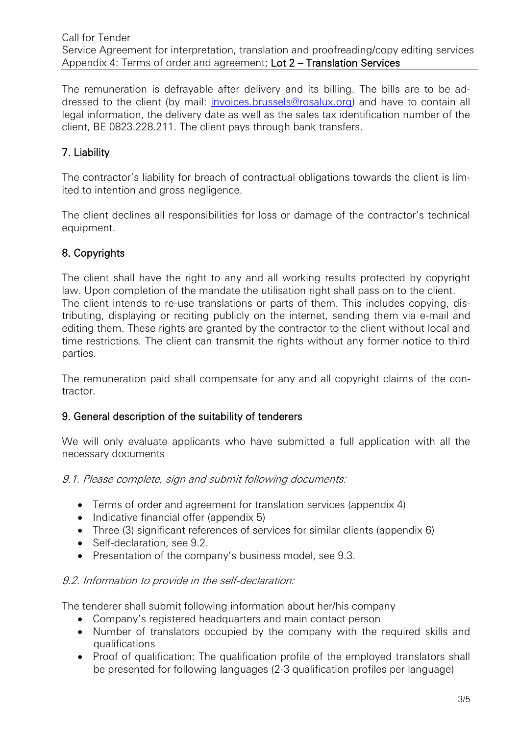The remuneration is defrayable after delivery and its billing. The bills are to be addressed to the client (by mail: [invoices.brussels@rosalux.org\)](mailto:invoices.brussels@rosalux.org) and have to contain all legal information, the delivery date as well as the sales tax identification number of the client, BE 0823.228.211. The client pays through bank transfers.

# 7. Liability

The contractor's liability for breach of contractual obligations towards the client is limited to intention and gross negligence.

The client declines all responsibilities for loss or damage of the contractor's technical equipment.

# 8. Copyrights

The client shall have the right to any and all working results protected by copyright law. Upon completion of the mandate the utilisation right shall pass on to the client. The client intends to re-use translations or parts of them. This includes copying, distributing, displaying or reciting publicly on the internet, sending them via e-mail and editing them. These rights are granted by the contractor to the client without local and time restrictions. The client can transmit the rights without any former notice to third parties.

The remuneration paid shall compensate for any and all copyright claims of the contractor.

## 9. General description of the suitability of tenderers

We will only evaluate applicants who have submitted a full application with all the necessary documents

9.1. Please complete, sign and submit following documents:

- Terms of order and agreement for translation services (appendix 4)
- Indicative financial offer (appendix 5)
- Three (3) significant references of services for similar clients (appendix 6)
- Self-declaration, see 9.2.
- Presentation of the company's business model, see 9.3.

## 9.2. Information to provide in the self-declaration:

The tenderer shall submit following information about her/his company

- Company's registered headquarters and main contact person
- Number of translators occupied by the company with the required skills and qualifications
- Proof of qualification: The qualification profile of the employed translators shall be presented for following languages (2-3 qualification profiles per language)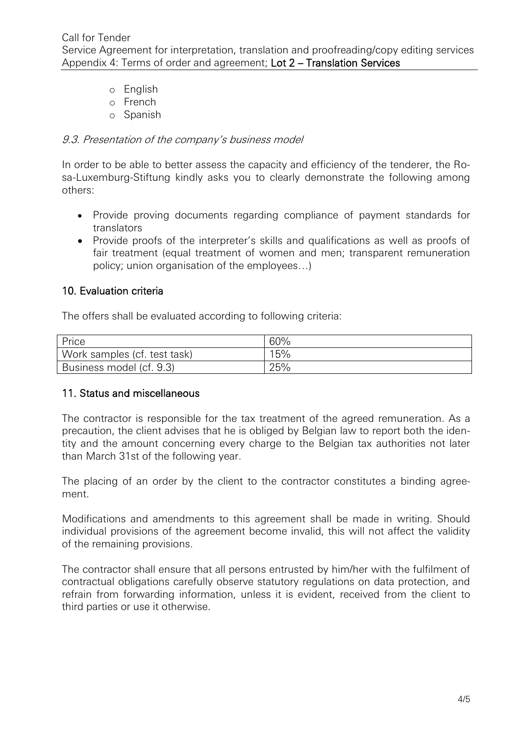- o English
- o French
- o Spanish

#### 9.3. Presentation of the company's business model

In order to be able to better assess the capacity and efficiency of the tenderer, the Rosa-Luxemburg-Stiftung kindly asks you to clearly demonstrate the following among others:

- Provide proving documents regarding compliance of payment standards for translators
- Provide proofs of the interpreter's skills and qualifications as well as proofs of fair treatment (equal treatment of women and men; transparent remuneration policy; union organisation of the employees…)

## 10. Evaluation criteria

The offers shall be evaluated according to following criteria:

| Price                        | 60% |
|------------------------------|-----|
| Work samples (cf. test task) | 15% |
| Business model (cf. 9.3)     | 25% |

## 11. Status and miscellaneous

The contractor is responsible for the tax treatment of the agreed remuneration. As a precaution, the client advises that he is obliged by Belgian law to report both the identity and the amount concerning every charge to the Belgian tax authorities not later than March 31st of the following year.

The placing of an order by the client to the contractor constitutes a binding agreement.

Modifications and amendments to this agreement shall be made in writing. Should individual provisions of the agreement become invalid, this will not affect the validity of the remaining provisions.

The contractor shall ensure that all persons entrusted by him/her with the fulfilment of contractual obligations carefully observe statutory regulations on data protection, and refrain from forwarding information, unless it is evident, received from the client to third parties or use it otherwise.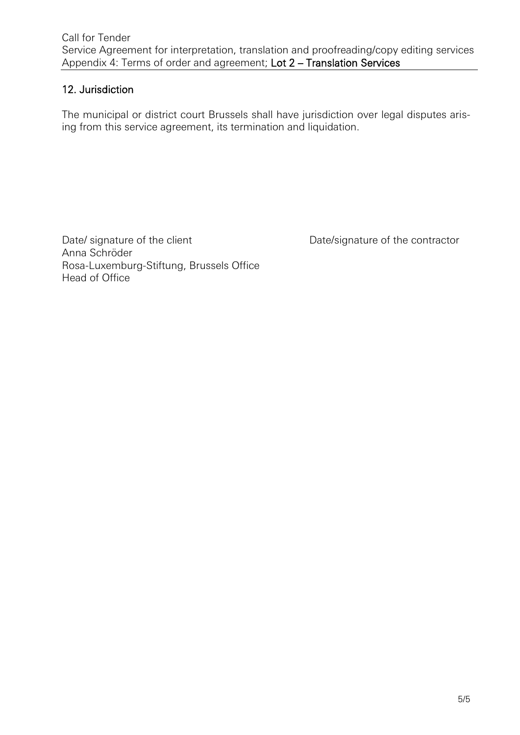# 12. Jurisdiction

The municipal or district court Brussels shall have jurisdiction over legal disputes arising from this service agreement, its termination and liquidation.

Date/ signature of the client Date/signature of the contractor Anna Schröder Rosa-Luxemburg-Stiftung, Brussels Office Head of Office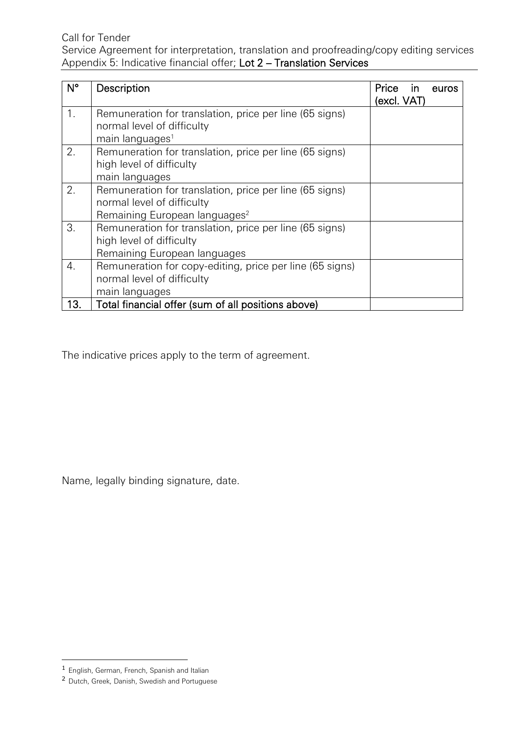Service Agreement for interpretation, translation and proofreading/copy editing services Appendix 5: Indicative financial offer; Lot 2 – Translation Services

| $N^{\circ}$ | Description                                                                                                                        | Price<br>$\mathsf{In}$<br>euros<br>(excl. VAT) |
|-------------|------------------------------------------------------------------------------------------------------------------------------------|------------------------------------------------|
| 1.          | Remuneration for translation, price per line (65 signs)<br>normal level of difficulty<br>main languages <sup>1</sup>               |                                                |
| 2.          | Remuneration for translation, price per line (65 signs)<br>high level of difficulty<br>main languages                              |                                                |
| 2.          | Remuneration for translation, price per line (65 signs)<br>normal level of difficulty<br>Remaining European languages <sup>2</sup> |                                                |
| 3.          | Remuneration for translation, price per line (65 signs)<br>high level of difficulty<br>Remaining European languages                |                                                |
| 4.          | Remuneration for copy-editing, price per line (65 signs)<br>normal level of difficulty<br>main languages                           |                                                |
| 13.         | Total financial offer (sum of all positions above)                                                                                 |                                                |

The indicative prices apply to the term of agreement.

Name, legally binding signature, date.

 $\overline{a}$ 

<sup>&</sup>lt;sup>1</sup> English, German, French, Spanish and Italian

<sup>&</sup>lt;sup>2</sup> Dutch, Greek, Danish, Swedish and Portuguese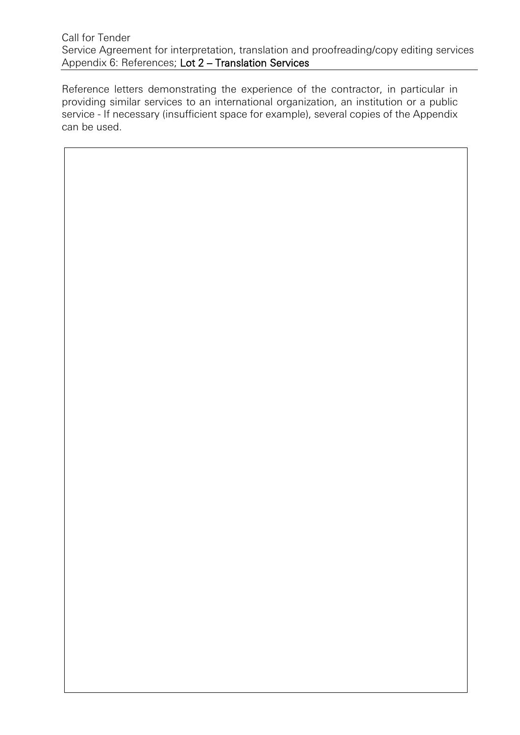#### Call for Tender Service Agreement for interpretation, translation and proofreading/copy editing services Appendix 6: References; Lot 2 – Translation Services

Reference letters demonstrating the experience of the contractor, in particular in providing similar services to an international organization, an institution or a public service - If necessary (insufficient space for example), several copies of the Appendix can be used.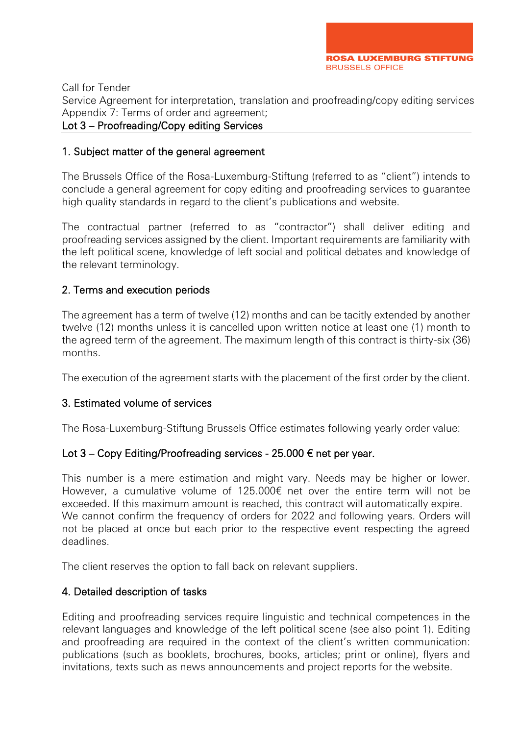Service Agreement for interpretation, translation and proofreading/copy editing services Appendix 7: Terms of order and agreement;

#### Lot 3 – Proofreading/Copy editing Services

#### 1. Subject matter of the general agreement

The Brussels Office of the Rosa-Luxemburg-Stiftung (referred to as "client") intends to conclude a general agreement for copy editing and proofreading services to guarantee high quality standards in regard to the client's publications and website.

The contractual partner (referred to as "contractor") shall deliver editing and proofreading services assigned by the client. Important requirements are familiarity with the left political scene, knowledge of left social and political debates and knowledge of the relevant terminology.

## 2. Terms and execution periods

The agreement has a term of twelve (12) months and can be tacitly extended by another twelve (12) months unless it is cancelled upon written notice at least one (1) month to the agreed term of the agreement. The maximum length of this contract is thirty-six (36) months.

The execution of the agreement starts with the placement of the first order by the client.

## 3. Estimated volume of services

The Rosa-Luxemburg-Stiftung Brussels Office estimates following yearly order value:

## Lot  $3$  – Copy Editing/Proofreading services - 25.000  $\epsilon$  net per year.

This number is a mere estimation and might vary. Needs may be higher or lower. However, a cumulative volume of 125.000€ net over the entire term will not be exceeded. If this maximum amount is reached, this contract will automatically expire. We cannot confirm the frequency of orders for 2022 and following years. Orders will not be placed at once but each prior to the respective event respecting the agreed deadlines.

The client reserves the option to fall back on relevant suppliers.

## 4. Detailed description of tasks

Editing and proofreading services require linguistic and technical competences in the relevant languages and knowledge of the left political scene (see also point 1). Editing and proofreading are required in the context of the client's written communication: publications (such as booklets, brochures, books, articles; print or online), flyers and invitations, texts such as news announcements and project reports for the website.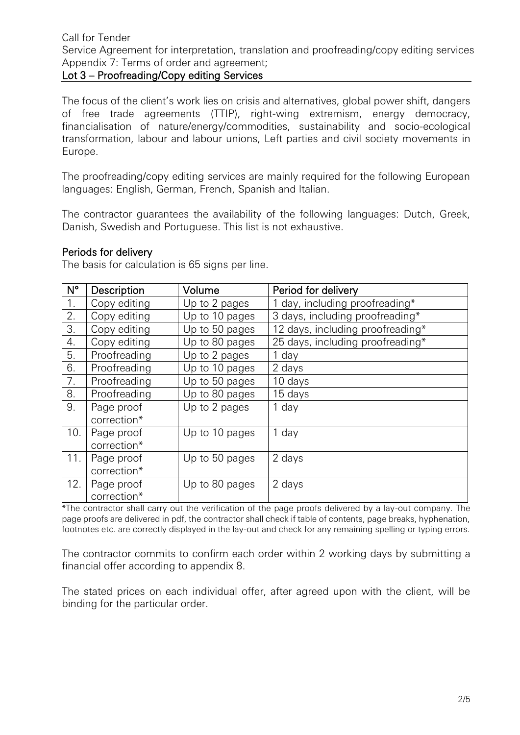## Lot 3 – Proofreading/Copy editing Services

The focus of the client's work lies on crisis and alternatives, global power shift, dangers of free trade agreements (TTIP), right-wing extremism, energy democracy, financialisation of nature/energy/commodities, sustainability and socio-ecological transformation, labour and labour unions, Left parties and civil society movements in Europe.

The proofreading/copy editing services are mainly required for the following European languages: English, German, French, Spanish and Italian.

The contractor guarantees the availability of the following languages: Dutch, Greek, Danish, Swedish and Portuguese. This list is not exhaustive.

#### Periods for delivery

The basis for calculation is 65 signs per line.

| $N^{\circ}$ | Description  | Volume         | Period for delivery              |
|-------------|--------------|----------------|----------------------------------|
| 1.          | Copy editing | Up to 2 pages  | 1 day, including proofreading*   |
| 2.          | Copy editing | Up to 10 pages | 3 days, including proofreading*  |
| 3.          | Copy editing | Up to 50 pages | 12 days, including proofreading* |
| 4.          | Copy editing | Up to 80 pages | 25 days, including proofreading* |
| 5.          | Proofreading | Up to 2 pages  | 1 day                            |
| 6.          | Proofreading | Up to 10 pages | 2 days                           |
| 7.          | Proofreading | Up to 50 pages | 10 days                          |
| 8.          | Proofreading | Up to 80 pages | 15 days                          |
| 9.          | Page proof   | Up to 2 pages  | 1 day                            |
|             | correction*  |                |                                  |
| 10.         | Page proof   | Up to 10 pages | 1 day                            |
|             | correction*  |                |                                  |
| 11.         | Page proof   | Up to 50 pages | 2 days                           |
|             | correction*  |                |                                  |
| 12.         | Page proof   | Up to 80 pages | 2 days                           |
|             | correction*  |                |                                  |

\*The contractor shall carry out the verification of the page proofs delivered by a lay-out company. The page proofs are delivered in pdf, the contractor shall check if table of contents, page breaks, hyphenation, footnotes etc. are correctly displayed in the lay-out and check for any remaining spelling or typing errors.

The contractor commits to confirm each order within 2 working days by submitting a financial offer according to appendix 8.

The stated prices on each individual offer, after agreed upon with the client, will be binding for the particular order.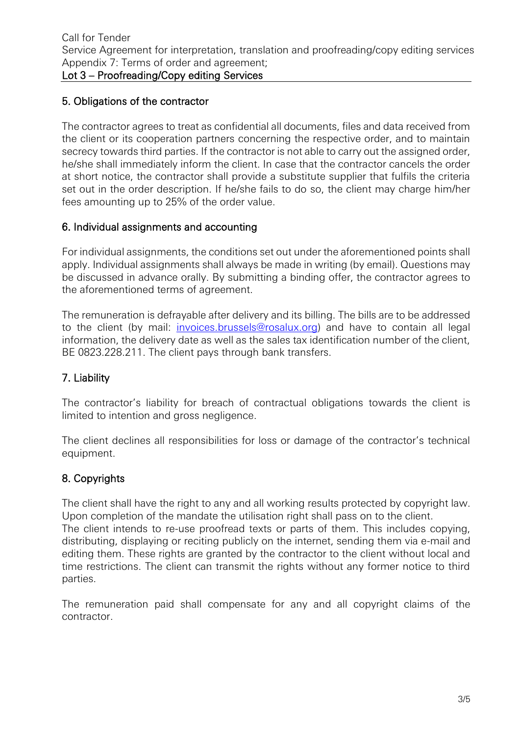## 5. Obligations of the contractor

The contractor agrees to treat as confidential all documents, files and data received from the client or its cooperation partners concerning the respective order, and to maintain secrecy towards third parties. If the contractor is not able to carry out the assigned order, he/she shall immediately inform the client. In case that the contractor cancels the order at short notice, the contractor shall provide a substitute supplier that fulfils the criteria set out in the order description. If he/she fails to do so, the client may charge him/her fees amounting up to 25% of the order value.

## 6. Individual assignments and accounting

For individual assignments, the conditions set out under the aforementioned points shall apply. Individual assignments shall always be made in writing (by email). Questions may be discussed in advance orally. By submitting a binding offer, the contractor agrees to the aforementioned terms of agreement.

The remuneration is defrayable after delivery and its billing. The bills are to be addressed to the client (by mail: [invoices.brussels@rosalux.org\)](mailto:invoices.brussels@rosalux.org) and have to contain all legal information, the delivery date as well as the sales tax identification number of the client, BE 0823.228.211. The client pays through bank transfers.

# 7. Liability

The contractor's liability for breach of contractual obligations towards the client is limited to intention and gross negligence.

The client declines all responsibilities for loss or damage of the contractor's technical equipment.

# 8. Copyrights

The client shall have the right to any and all working results protected by copyright law. Upon completion of the mandate the utilisation right shall pass on to the client.

The client intends to re-use proofread texts or parts of them. This includes copying, distributing, displaying or reciting publicly on the internet, sending them via e-mail and editing them. These rights are granted by the contractor to the client without local and time restrictions. The client can transmit the rights without any former notice to third parties.

The remuneration paid shall compensate for any and all copyright claims of the contractor.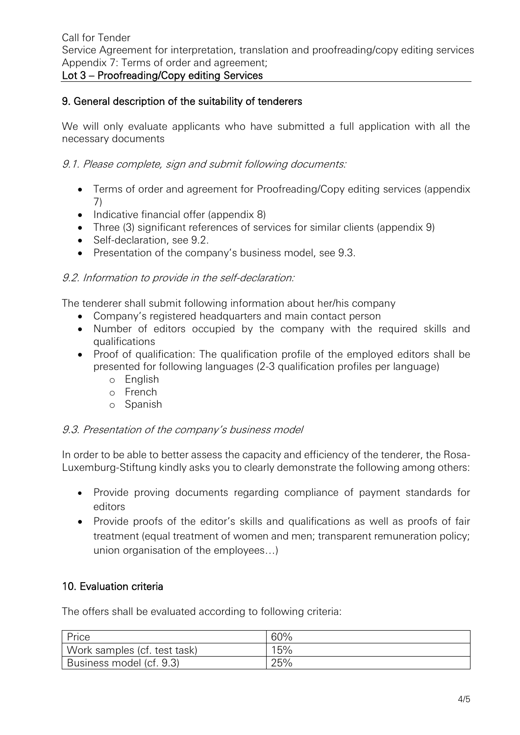# Lot 3 – Proofreading/Copy editing Services

# 9. General description of the suitability of tenderers

We will only evaluate applicants who have submitted a full application with all the necessary documents

9.1. Please complete, sign and submit following documents:

- Terms of order and agreement for Proofreading/Copy editing services (appendix 7)
- Indicative financial offer (appendix 8)
- Three (3) significant references of services for similar clients (appendix 9)
- Self-declaration, see 9.2.
- Presentation of the company's business model, see 9.3.

## 9.2. Information to provide in the self-declaration:

The tenderer shall submit following information about her/his company

- Company's registered headquarters and main contact person
- Number of editors occupied by the company with the required skills and qualifications
- Proof of qualification: The qualification profile of the employed editors shall be presented for following languages (2-3 qualification profiles per language)
	- o English
	- o French
	- o Spanish

## 9.3. Presentation of the company's business model

In order to be able to better assess the capacity and efficiency of the tenderer, the Rosa-Luxemburg-Stiftung kindly asks you to clearly demonstrate the following among others:

- Provide proving documents regarding compliance of payment standards for editors
- Provide proofs of the editor's skills and qualifications as well as proofs of fair treatment (equal treatment of women and men; transparent remuneration policy; union organisation of the employees…)

# 10. Evaluation criteria

The offers shall be evaluated according to following criteria:

| Price                        | 60% |
|------------------------------|-----|
| Work samples (cf. test task) | 15% |
| Business model (cf. 9.3)     | 25% |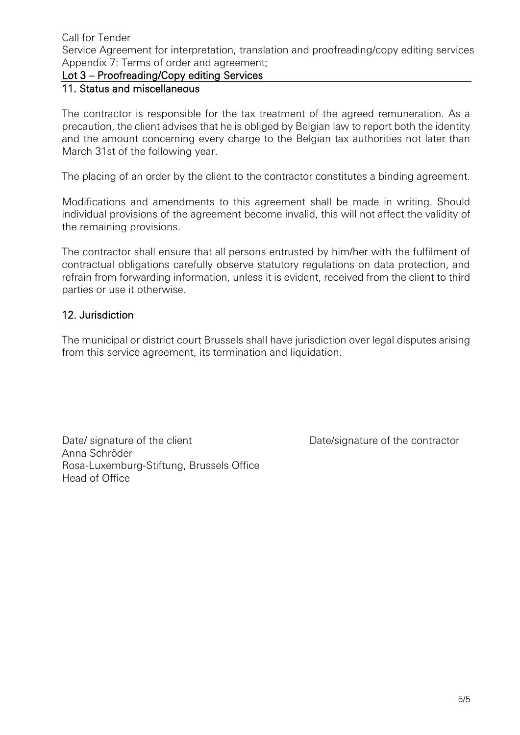Service Agreement for interpretation, translation and proofreading/copy editing services Appendix 7: Terms of order and agreement;

## Lot 3 – Proofreading/Copy editing Services

## 11. Status and miscellaneous

The contractor is responsible for the tax treatment of the agreed remuneration. As a precaution, the client advises that he is obliged by Belgian law to report both the identity and the amount concerning every charge to the Belgian tax authorities not later than March 31st of the following year.

The placing of an order by the client to the contractor constitutes a binding agreement.

Modifications and amendments to this agreement shall be made in writing. Should individual provisions of the agreement become invalid, this will not affect the validity of the remaining provisions.

The contractor shall ensure that all persons entrusted by him/her with the fulfilment of contractual obligations carefully observe statutory regulations on data protection, and refrain from forwarding information, unless it is evident, received from the client to third parties or use it otherwise.

#### 12. Jurisdiction

The municipal or district court Brussels shall have jurisdiction over legal disputes arising from this service agreement, its termination and liquidation.

Date/ signature of the client Date/signature of the contractor Anna Schröder Rosa-Luxemburg-Stiftung, Brussels Office Head of Office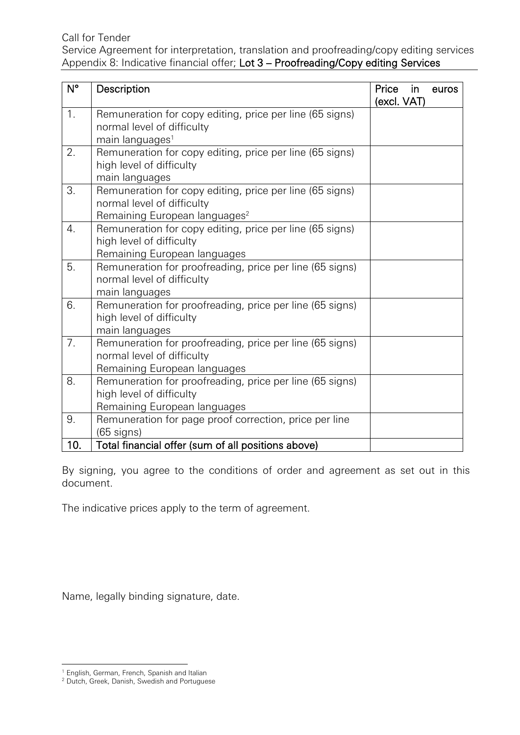Service Agreement for interpretation, translation and proofreading/copy editing services Appendix 8: Indicative financial offer; Lot 3 – Proofreading/Copy editing Services

| $N^{\circ}$      | Description                                                                                                                         | Price<br>(excl. VAT) | in | euros |
|------------------|-------------------------------------------------------------------------------------------------------------------------------------|----------------------|----|-------|
| 1.               | Remuneration for copy editing, price per line (65 signs)<br>normal level of difficulty<br>main languages <sup>1</sup>               |                      |    |       |
| 2.               | Remuneration for copy editing, price per line (65 signs)<br>high level of difficulty<br>main languages                              |                      |    |       |
| 3.               | Remuneration for copy editing, price per line (65 signs)<br>normal level of difficulty<br>Remaining European languages <sup>2</sup> |                      |    |       |
| $\overline{4}$ . | Remuneration for copy editing, price per line (65 signs)<br>high level of difficulty<br>Remaining European languages                |                      |    |       |
| 5.               | Remuneration for proofreading, price per line (65 signs)<br>normal level of difficulty<br>main languages                            |                      |    |       |
| 6.               | Remuneration for proofreading, price per line (65 signs)<br>high level of difficulty<br>main languages                              |                      |    |       |
| 7.               | Remuneration for proofreading, price per line (65 signs)<br>normal level of difficulty<br>Remaining European languages              |                      |    |       |
| 8.               | Remuneration for proofreading, price per line (65 signs)<br>high level of difficulty<br>Remaining European languages                |                      |    |       |
| 9.               | Remuneration for page proof correction, price per line<br>$(65$ signs)                                                              |                      |    |       |
| 10.              | Total financial offer (sum of all positions above)                                                                                  |                      |    |       |

By signing, you agree to the conditions of order and agreement as set out in this document.

The indicative prices apply to the term of agreement.

Name, legally binding signature, date.

l

<sup>1</sup> English, German, French, Spanish and Italian

<sup>&</sup>lt;sup>2</sup> Dutch, Greek, Danish, Swedish and Portuguese